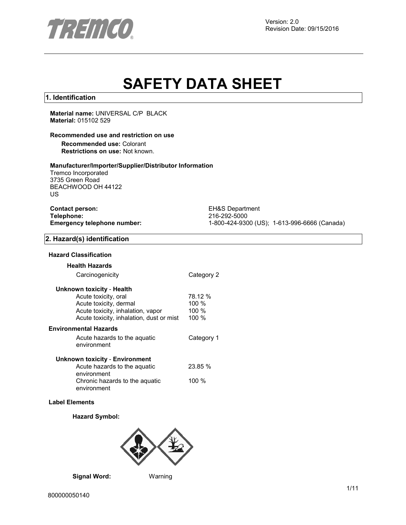

Version: 2.0 Revision Date: 09/15/2016

# **SAFETY DATA SHEET**

### **1. Identification**

**Material name:** UNIVERSAL C/P BLACK **Material:** 015102 529

### **Recommended use and restriction on use**

**Recommended use:** Colorant **Restrictions on use:** Not known.

### **Manufacturer/Importer/Supplier/Distributor Information**

Tremco Incorporated 3735 Green Road BEACHWOOD OH 44122 US

| <b>Contact person:</b>      |
|-----------------------------|
| Telephone:                  |
| Emergency telephone number: |

**EH&S Department Telephone:** 216-292-5000 **Emergency telephone number:** 1-800-424-9300 (US); 1-613-996-6666 (Canada)

### **2. Hazard(s) identification**

#### **Hazard Classification**

#### **Health Hazards**

| Carcinogenicity                               | Category 2 |
|-----------------------------------------------|------------|
| Unknown toxicity - Health                     |            |
| Acute toxicity, oral                          | 78.12 %    |
| Acute toxicity, dermal                        | $100 \%$   |
| Acute toxicity, inhalation, vapor             | $100 \%$   |
| Acute toxicity, inhalation, dust or mist      | 100 %      |
| Environmental Hazards                         |            |
| Acute hazards to the aquatic<br>environment   | Category 1 |
| Unknown toxicity - Environment                |            |
| Acute hazards to the aquatic<br>environment   | 23.85 %    |
| Chronic hazards to the aguatic<br>environment | $100 \%$   |

### **Label Elements**

### **Hazard Symbol:**



**Signal Word:** Warning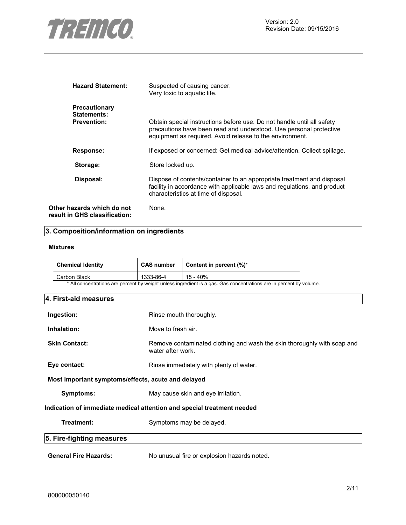

| <b>Hazard Statement:</b>                                    | Suspected of causing cancer.<br>Very toxic to aquatic life.                                                                                                                                              |
|-------------------------------------------------------------|----------------------------------------------------------------------------------------------------------------------------------------------------------------------------------------------------------|
| Precautionary<br>Statements:<br><b>Prevention:</b>          | Obtain special instructions before use. Do not handle until all safety<br>precautions have been read and understood. Use personal protective<br>equipment as required. Avoid release to the environment. |
| <b>Response:</b>                                            | If exposed or concerned: Get medical advice/attention. Collect spillage.                                                                                                                                 |
| Storage:                                                    | Store locked up.                                                                                                                                                                                         |
| Disposal:                                                   | Dispose of contents/container to an appropriate treatment and disposal<br>facility in accordance with applicable laws and regulations, and product<br>characteristics at time of disposal.               |
| Other hazards which do not<br>result in GHS classification: | None.                                                                                                                                                                                                    |

# **3. Composition/information on ingredients**

### **Mixtures**

| Chemical Identity | <b>CAS number</b> | Content in percent $(\%)^*$                                                                                        |
|-------------------|-------------------|--------------------------------------------------------------------------------------------------------------------|
| Carbon Black      | 1333-86-4         | 15 - 40%                                                                                                           |
|                   |                   | * All concentrations are percent by weight unless ingredient is a gas. Gas concentrations are in percent by volume |

| * All concentrations are percent by weight unless ingredient is a gas. Gas concentrations are in percent by volume. |  |  |
|---------------------------------------------------------------------------------------------------------------------|--|--|
|---------------------------------------------------------------------------------------------------------------------|--|--|

| 4. First-aid measures                                                  |                                                                                              |  |  |  |
|------------------------------------------------------------------------|----------------------------------------------------------------------------------------------|--|--|--|
| Ingestion:                                                             | Rinse mouth thoroughly.                                                                      |  |  |  |
| Inhalation:                                                            | Move to fresh air.                                                                           |  |  |  |
| <b>Skin Contact:</b>                                                   | Remove contaminated clothing and wash the skin thoroughly with soap and<br>water after work. |  |  |  |
| Eye contact:                                                           | Rinse immediately with plenty of water.                                                      |  |  |  |
| Most important symptoms/effects, acute and delayed                     |                                                                                              |  |  |  |
| Symptoms:                                                              | May cause skin and eye irritation.                                                           |  |  |  |
| Indication of immediate medical attention and special treatment needed |                                                                                              |  |  |  |
| Treatment:                                                             | Symptoms may be delayed.                                                                     |  |  |  |
| 5. Fire-fighting measures                                              |                                                                                              |  |  |  |
| <b>General Fire Hazards:</b>                                           | No unusual fire or explosion hazards noted.                                                  |  |  |  |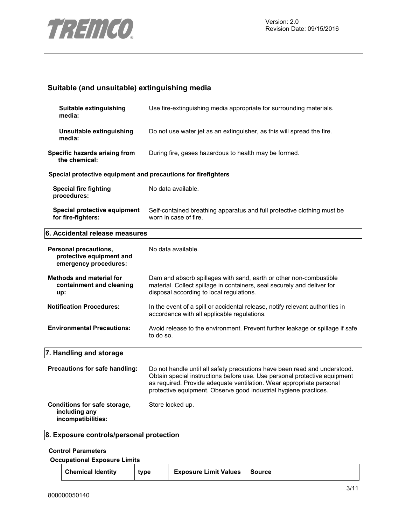

# **Suitable (and unsuitable) extinguishing media**

| Suitable extinguishing<br>media:                                           | Use fire-extinguishing media appropriate for surrounding materials.                                                                                                                                                                                                                                |
|----------------------------------------------------------------------------|----------------------------------------------------------------------------------------------------------------------------------------------------------------------------------------------------------------------------------------------------------------------------------------------------|
| Unsuitable extinguishing<br>media:                                         | Do not use water jet as an extinguisher, as this will spread the fire.                                                                                                                                                                                                                             |
| Specific hazards arising from<br>the chemical:                             | During fire, gases hazardous to health may be formed.                                                                                                                                                                                                                                              |
| Special protective equipment and precautions for firefighters              |                                                                                                                                                                                                                                                                                                    |
| <b>Special fire fighting</b><br>procedures:                                | No data available.                                                                                                                                                                                                                                                                                 |
| Special protective equipment<br>for fire-fighters:                         | Self-contained breathing apparatus and full protective clothing must be<br>worn in case of fire.                                                                                                                                                                                                   |
| 6. Accidental release measures                                             |                                                                                                                                                                                                                                                                                                    |
| Personal precautions,<br>protective equipment and<br>emergency procedures: | No data available.                                                                                                                                                                                                                                                                                 |
| Methods and material for<br>containment and cleaning<br>up:                | Dam and absorb spillages with sand, earth or other non-combustible<br>material. Collect spillage in containers, seal securely and deliver for<br>disposal according to local regulations.                                                                                                          |
| <b>Notification Procedures:</b>                                            | In the event of a spill or accidental release, notify relevant authorities in<br>accordance with all applicable regulations.                                                                                                                                                                       |
| <b>Environmental Precautions:</b>                                          | Avoid release to the environment. Prevent further leakage or spillage if safe<br>to do so.                                                                                                                                                                                                         |
| 7. Handling and storage                                                    |                                                                                                                                                                                                                                                                                                    |
| Precautions for safe handling:                                             | Do not handle until all safety precautions have been read and understood.<br>Obtain special instructions before use. Use personal protective equipment<br>as required. Provide adequate ventilation. Wear appropriate personal<br>protective equipment. Observe good industrial hygiene practices. |
| Conditions for safe storage,<br>including any<br>incompatibilities:        | Store locked up.                                                                                                                                                                                                                                                                                   |
| 8. Exposure controls/personal protection                                   |                                                                                                                                                                                                                                                                                                    |

### **Control Parameters**

**Occupational Exposure Limits**

|  | <b>Chemical Identity</b> | type | <b>Exposure Limit Values</b> | Source |
|--|--------------------------|------|------------------------------|--------|
|--|--------------------------|------|------------------------------|--------|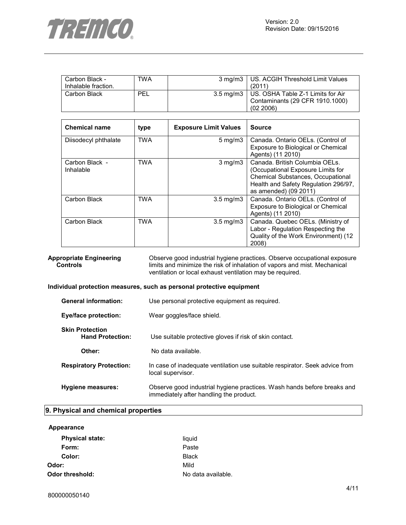

| Carbon Black -      | TWA | 3 mg/m3   US. ACGIH Threshold Limit Values    |
|---------------------|-----|-----------------------------------------------|
| Inhalable fraction. |     | (2011)                                        |
| Carbon Black        | PEL | 3.5 mg/m3   US. OSHA Table Z-1 Limits for Air |
|                     |     | Contaminants (29 CFR 1910.1000)               |
|                     |     | (02, 2006)                                    |

| <b>Chemical name</b>        | type       | <b>Exposure Limit Values</b> | <b>Source</b>                                                                                                                                                             |
|-----------------------------|------------|------------------------------|---------------------------------------------------------------------------------------------------------------------------------------------------------------------------|
| Diisodecyl phthalate        | <b>TWA</b> | $5 \text{ mg/m}$ 3           | Canada. Ontario OELs. (Control of<br>Exposure to Biological or Chemical<br>Agents) (11 2010)                                                                              |
| Carbon Black -<br>Inhalable | <b>TWA</b> | $3 \text{ mg/m}$             | Canada. British Columbia OELs.<br>(Occupational Exposure Limits for<br>Chemical Substances, Occupational<br>Health and Safety Regulation 296/97,<br>as amended) (09 2011) |
| Carbon Black                | <b>TWA</b> | $3.5 \text{ mg/m}$           | Canada. Ontario OELs. (Control of<br>Exposure to Biological or Chemical<br>Agents) (11 2010)                                                                              |
| Carbon Black                | TWA        | $3.5 \text{ mg/m}$           | Canada. Quebec OELs. (Ministry of<br>Labor - Regulation Respecting the<br>Quality of the Work Environment) (12<br>2008)                                                   |

### **Appropriate Engineering Controls**

Observe good industrial hygiene practices. Observe occupational exposure limits and minimize the risk of inhalation of vapors and mist. Mechanical ventilation or local exhaust ventilation may be required.

### **Individual protection measures, such as personal protective equipment**

| <b>General information:</b>                       | Use personal protective equipment as required.                                                                     |  |
|---------------------------------------------------|--------------------------------------------------------------------------------------------------------------------|--|
| Eye/face protection:                              | Wear goggles/face shield.                                                                                          |  |
| <b>Skin Protection</b><br><b>Hand Protection:</b> | Use suitable protective gloves if risk of skin contact.                                                            |  |
| Other:                                            | No data available.                                                                                                 |  |
| <b>Respiratory Protection:</b>                    | In case of inadequate ventilation use suitable respirator. Seek advice from<br>local supervisor.                   |  |
| Hygiene measures:                                 | Observe good industrial hygiene practices. Wash hands before breaks and<br>immediately after handling the product. |  |

# **9. Physical and chemical properties**

| <b>Physical state:</b> | liquid             |
|------------------------|--------------------|
| Form:                  | Paste              |
| Color:                 | <b>Black</b>       |
| Odor:                  | Mild               |
| Odor threshold:        | No data available. |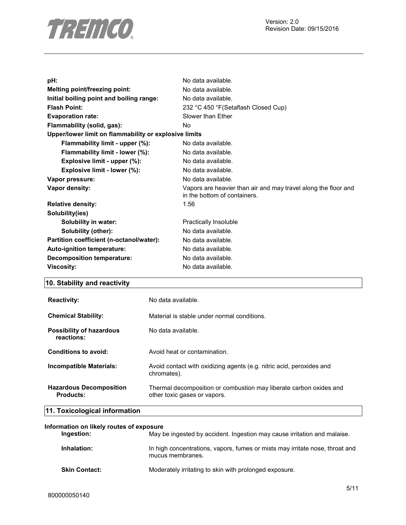

Version: 2.0 Revision Date: 09/15/2016

| pH:                                                   | No data available.                                                                             |
|-------------------------------------------------------|------------------------------------------------------------------------------------------------|
| Melting point/freezing point:                         | No data available.                                                                             |
| Initial boiling point and boiling range:              | No data available.                                                                             |
| <b>Flash Point:</b>                                   | 232 °C 450 °F (Setaflash Closed Cup)                                                           |
| <b>Evaporation rate:</b>                              | Slower than Ether                                                                              |
| Flammability (solid, gas):                            | No.                                                                                            |
| Upper/lower limit on flammability or explosive limits |                                                                                                |
| Flammability limit - upper (%):                       | No data available.                                                                             |
| Flammability limit - lower (%):                       | No data available.                                                                             |
| Explosive limit - upper (%):                          | No data available.                                                                             |
| Explosive limit - lower (%):                          | No data available.                                                                             |
| Vapor pressure:                                       | No data available.                                                                             |
| Vapor density:                                        | Vapors are heavier than air and may travel along the floor and<br>in the bottom of containers. |
| <b>Relative density:</b>                              | 1.56                                                                                           |
| Solubility(ies)                                       |                                                                                                |
| <b>Solubility in water:</b>                           | Practically Insoluble                                                                          |
| Solubility (other):                                   | No data available.                                                                             |
| Partition coefficient (n-octanol/water):              | No data available.                                                                             |
| Auto-ignition temperature:                            | No data available.                                                                             |
| <b>Decomposition temperature:</b>                     | No data available.                                                                             |
| <b>Viscosity:</b>                                     | No data available.                                                                             |
|                                                       |                                                                                                |

# **10. Stability and reactivity**

| <b>Reactivity:</b>                            | No data available.                                                                                 |
|-----------------------------------------------|----------------------------------------------------------------------------------------------------|
| <b>Chemical Stability:</b>                    | Material is stable under normal conditions.                                                        |
| <b>Possibility of hazardous</b><br>reactions: | No data available.                                                                                 |
| Conditions to avoid:                          | Avoid heat or contamination.                                                                       |
| Incompatible Materials:                       | Avoid contact with oxidizing agents (e.g. nitric acid, peroxides and<br>chromates).                |
| <b>Hazardous Decomposition</b><br>Products:   | Thermal decomposition or combustion may liberate carbon oxides and<br>other toxic gases or vapors. |

# **11. Toxicological information**

### **Information on likely routes of exposure**

| Ingestion:           | May be ingested by accident. Ingestion may cause irritation and malaise.                         |
|----------------------|--------------------------------------------------------------------------------------------------|
| Inhalation:          | In high concentrations, vapors, fumes or mists may irritate nose, throat and<br>mucus membranes. |
| <b>Skin Contact:</b> | Moderately irritating to skin with prolonged exposure.                                           |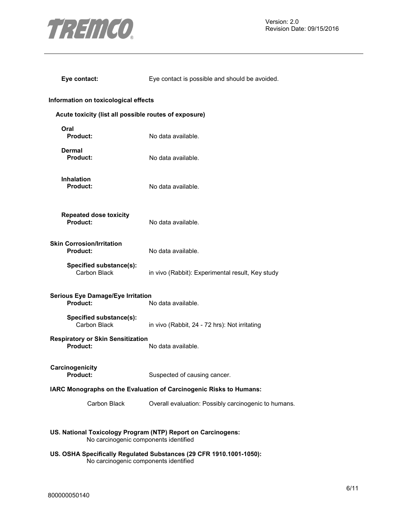

Version: 2.0 Revision Date: 09/15/2016

| Eye contact:                                                                                                 | Eye contact is possible and should be avoided.       |
|--------------------------------------------------------------------------------------------------------------|------------------------------------------------------|
| Information on toxicological effects                                                                         |                                                      |
| Acute toxicity (list all possible routes of exposure)                                                        |                                                      |
| Oral<br><b>Product:</b>                                                                                      | No data available.                                   |
| Dermal<br><b>Product:</b>                                                                                    | No data available.                                   |
| <b>Inhalation</b><br><b>Product:</b>                                                                         | No data available.                                   |
| <b>Repeated dose toxicity</b><br><b>Product:</b>                                                             | No data available.                                   |
| <b>Skin Corrosion/Irritation</b><br><b>Product:</b>                                                          | No data available.                                   |
| Specified substance(s):<br>Carbon Black                                                                      | in vivo (Rabbit): Experimental result, Key study     |
| <b>Serious Eye Damage/Eye Irritation</b><br>Product:<br>No data available.                                   |                                                      |
| Specified substance(s):<br>Carbon Black                                                                      | in vivo (Rabbit, 24 - 72 hrs): Not irritating        |
| <b>Respiratory or Skin Sensitization</b><br><b>Product:</b>                                                  | No data available.                                   |
| Carcinogenicity<br>Product:                                                                                  | Suspected of causing cancer.                         |
| IARC Monographs on the Evaluation of Carcinogenic Risks to Humans:                                           |                                                      |
| Carbon Black                                                                                                 | Overall evaluation: Possibly carcinogenic to humans. |
| US. National Toxicology Program (NTP) Report on Carcinogens:<br>No carcinogenic components identified        |                                                      |
| US. OSHA Specifically Regulated Substances (29 CFR 1910.1001-1050):<br>No carcinogenic components identified |                                                      |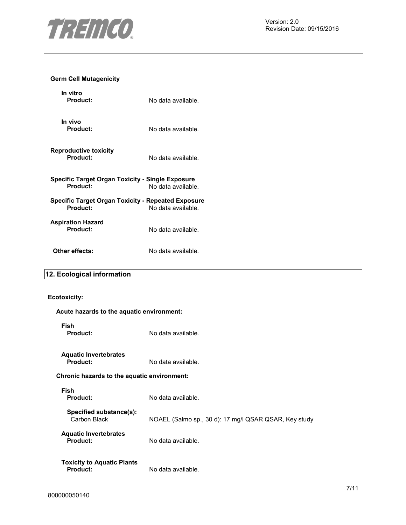

# **Germ Cell Mutagenicity**

| In vitro<br>Product:                                           | No data available. |
|----------------------------------------------------------------|--------------------|
| In vivo<br>Product:                                            | No data available. |
| <b>Reproductive toxicity</b><br>Product:                       | No data available. |
| Specific Target Organ Toxicity - Single Exposure<br>Product:   | No data available. |
| Specific Target Organ Toxicity - Repeated Exposure<br>Product: | No data available. |
| <b>Aspiration Hazard</b><br>Product:                           | No data available. |
| Other effects:                                                 | No data available. |

# **12. Ecological information**

# **Ecotoxicity:**

| Acute hazards to the aquatic environment:            |                                                       |
|------------------------------------------------------|-------------------------------------------------------|
| Fish<br><b>Product:</b>                              | No data available.                                    |
| <b>Aquatic Invertebrates</b><br><b>Product:</b>      | No data available.                                    |
| Chronic hazards to the aquatic environment:          |                                                       |
| Fish<br><b>Product:</b>                              | No data available.                                    |
| Specified substance(s):<br>Carbon Black              | NOAEL (Salmo sp., 30 d): 17 mg/l QSAR QSAR, Key study |
| <b>Aquatic Invertebrates</b><br><b>Product:</b>      | No data available.                                    |
| <b>Toxicity to Aquatic Plants</b><br><b>Product:</b> | No data available.                                    |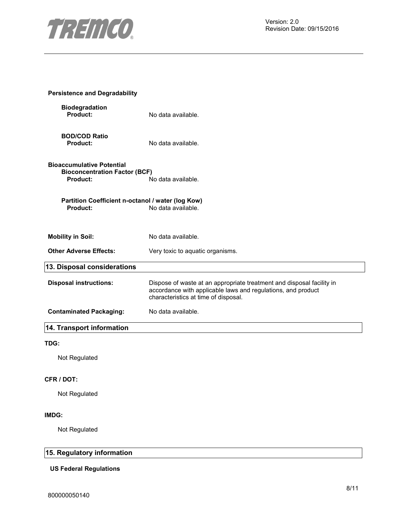

| <b>Persistence and Degradability</b>                                                        |                                                                                                                                                                               |
|---------------------------------------------------------------------------------------------|-------------------------------------------------------------------------------------------------------------------------------------------------------------------------------|
| <b>Biodegradation</b><br>Product:                                                           | No data available.                                                                                                                                                            |
| <b>BOD/COD Ratio</b><br><b>Product:</b>                                                     | No data available.                                                                                                                                                            |
| <b>Bioaccumulative Potential</b><br><b>Bioconcentration Factor (BCF)</b><br><b>Product:</b> | No data available.                                                                                                                                                            |
| Partition Coefficient n-octanol / water (log Kow)<br><b>Product:</b>                        | No data available.                                                                                                                                                            |
| <b>Mobility in Soil:</b>                                                                    | No data available.                                                                                                                                                            |
| <b>Other Adverse Effects:</b>                                                               | Very toxic to aquatic organisms.                                                                                                                                              |
| 13. Disposal considerations                                                                 |                                                                                                                                                                               |
| <b>Disposal instructions:</b>                                                               | Dispose of waste at an appropriate treatment and disposal facility in<br>accordance with applicable laws and regulations, and product<br>characteristics at time of disposal. |
| <b>Contaminated Packaging:</b>                                                              | No data available.                                                                                                                                                            |
| 14. Transport information                                                                   |                                                                                                                                                                               |
| TDG:                                                                                        |                                                                                                                                                                               |
| Not Regulated                                                                               |                                                                                                                                                                               |
| <b>CFR / DOT:</b>                                                                           |                                                                                                                                                                               |

Not Regulated

### **IMDG:**

Not Regulated

# **15. Regulatory information**

### **US Federal Regulations**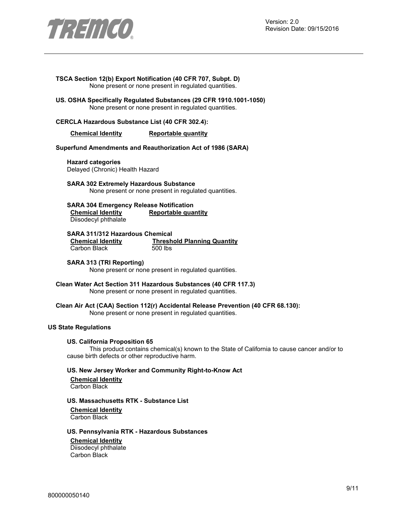

#### **TSCA Section 12(b) Export Notification (40 CFR 707, Subpt. D)**  None present or none present in regulated quantities.

**US. OSHA Specifically Regulated Substances (29 CFR 1910.1001-1050)**  None present or none present in regulated quantities.

### **CERCLA Hazardous Substance List (40 CFR 302.4):**

### **Chemical Identity Reportable quantity**

#### **Superfund Amendments and Reauthorization Act of 1986 (SARA)**

**Hazard categories**  Delayed (Chronic) Health Hazard

**SARA 302 Extremely Hazardous Substance**  None present or none present in regulated quantities.

**SARA 304 Emergency Release Notification Chemical Identity Reportable quantity** Diisodecyl phthalate

# **SARA 311/312 Hazardous Chemical**

Carbon Black

**Threshold Planning Quantity** 500 lbs

### **SARA 313 (TRI Reporting)**

None present or none present in regulated quantities.

**Clean Water Act Section 311 Hazardous Substances (40 CFR 117.3)**  None present or none present in regulated quantities.

**Clean Air Act (CAA) Section 112(r) Accidental Release Prevention (40 CFR 68.130):**  None present or none present in regulated quantities.

### **US State Regulations**

#### **US. California Proposition 65**

This product contains chemical(s) known to the State of California to cause cancer and/or to cause birth defects or other reproductive harm.

### **US. New Jersey Worker and Community Right-to-Know Act**

**Chemical Identity** Carbon Black

### **US. Massachusetts RTK - Substance List**

**Chemical Identity** Carbon Black

### **US. Pennsylvania RTK - Hazardous Substances**

#### **Chemical Identity**

Diisodecyl phthalate Carbon Black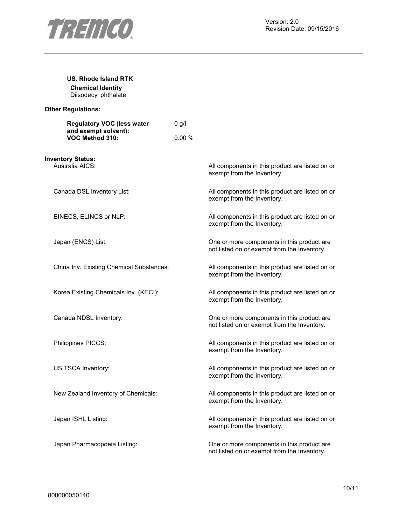

| US. Rhode Island RTK<br><b>Chemical Identity</b><br>Diisodecyl phthalate     |         |                                                                                           |
|------------------------------------------------------------------------------|---------|-------------------------------------------------------------------------------------------|
| <b>Other Regulations:</b>                                                    |         |                                                                                           |
| <b>Regulatory VOC (less water</b><br>and exempt solvent):<br>VOC Method 310: | $0$ g/l |                                                                                           |
|                                                                              | 0.00%   |                                                                                           |
| <b>Inventory Status:</b><br>Australia AICS:                                  |         | All components in this product are listed on or<br>exempt from the Inventory.             |
| Canada DSL Inventory List:                                                   |         | All components in this product are listed on or<br>exempt from the Inventory.             |
| EINECS, ELINCS or NLP:                                                       |         | All components in this product are listed on or<br>exempt from the Inventory.             |
| Japan (ENCS) List:                                                           |         | One or more components in this product are<br>not listed on or exempt from the Inventory. |
| China Inv. Existing Chemical Substances:                                     |         | All components in this product are listed on or<br>exempt from the Inventory.             |
| Korea Existing Chemicals Inv. (KECI):                                        |         | All components in this product are listed on or<br>exempt from the Inventory.             |
| Canada NDSL Inventory:                                                       |         | One or more components in this product are<br>not listed on or exempt from the Inventory. |
| Philippines PICCS:                                                           |         | All components in this product are listed on or<br>exempt from the Inventory.             |
| US TSCA Inventory:                                                           |         | All components in this product are listed on or<br>exempt from the Inventory.             |
| New Zealand Inventory of Chemicals:                                          |         | All components in this product are listed on or<br>exempt from the Inventory.             |
| Japan ISHL Listing:                                                          |         | All components in this product are listed on or<br>exempt from the Inventory.             |
| Japan Pharmacopoeia Listing:                                                 |         | One or more components in this product are<br>not listed on or exempt from the Inventory. |